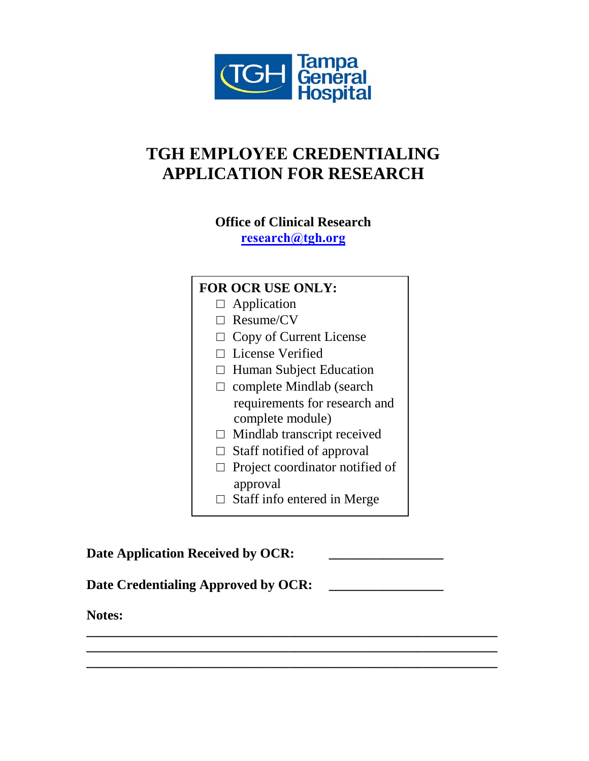

# **TGH EMPLOYEE CREDENTIALING APPLICATION FOR RESEARCH**

**Office of Clinical Research [research@tgh.org](mailto: research@tgh.org)**

## **FOR OCR USE ONLY:** □ Application □ Resume/CV  $\Box$  Copy of Current License □ License Verified □ Human Subject Education □ complete Mindlab (search requirements for research and complete module)  $\Box$  Mindlab transcript received  $\Box$  Staff notified of approval □ Project coordinator notified of approval □ Staff info entered in Merge

Date Application Received by OCR: Date Credentialing Approved by OCR: **Notes: \_\_\_\_\_\_\_\_\_\_\_\_\_\_\_\_\_\_\_\_\_\_\_\_\_\_\_\_\_\_\_\_\_\_\_\_\_\_\_\_\_\_\_\_\_\_\_\_\_\_\_\_\_\_\_\_\_\_\_\_\_ \_\_\_\_\_\_\_\_\_\_\_\_\_\_\_\_\_\_\_\_\_\_\_\_\_\_\_\_\_\_\_\_\_\_\_\_\_\_\_\_\_\_\_\_\_\_\_\_\_\_\_\_\_\_\_\_\_\_\_\_\_**

**\_\_\_\_\_\_\_\_\_\_\_\_\_\_\_\_\_\_\_\_\_\_\_\_\_\_\_\_\_\_\_\_\_\_\_\_\_\_\_\_\_\_\_\_\_\_\_\_\_\_\_\_\_\_\_\_\_\_\_\_\_**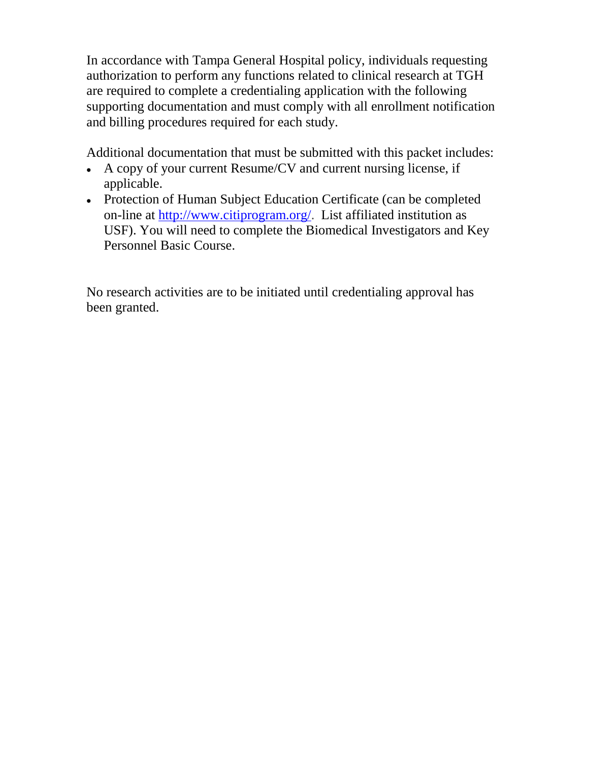In accordance with Tampa General Hospital policy, individuals requesting authorization to perform any functions related to clinical research at TGH are required to complete a credentialing application with the following supporting documentation and must comply with all enrollment notification and billing procedures required for each study.

Additional documentation that must be submitted with this packet includes:

- A copy of your current Resume/CV and current nursing license, if applicable.
- Protection of Human Subject Education Certificate (can be completed on-line at [http://www.citiprogram.org/.](http://www.citiprogram.org/) List affiliated institution as USF). You will need to complete the Biomedical Investigators and Key Personnel Basic Course.

No research activities are to be initiated until credentialing approval has been granted.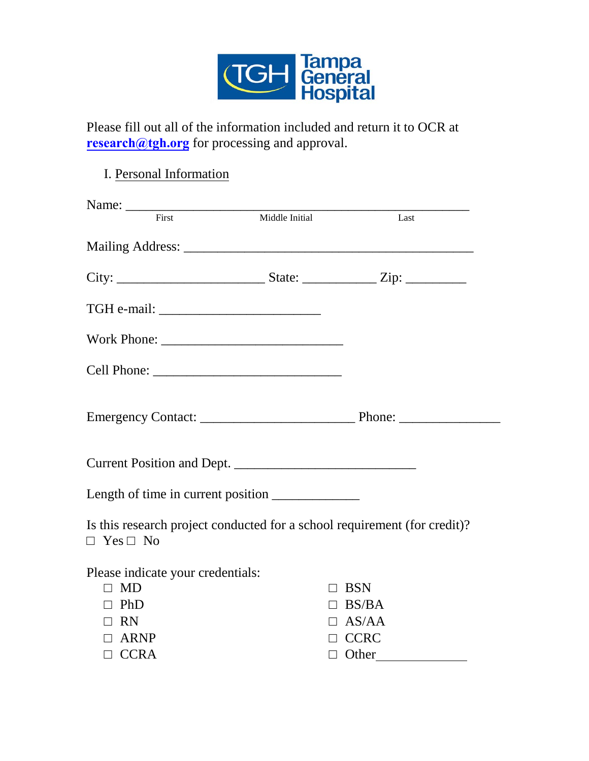

Please fill out all of the information included and return it to OCR at **[research@tgh.org](mailto: research@tgh.org)** for processing and approval.

### I. Personal Information

| First                                                                                             | Middle Initial | Last            |
|---------------------------------------------------------------------------------------------------|----------------|-----------------|
|                                                                                                   |                |                 |
|                                                                                                   |                |                 |
|                                                                                                   |                |                 |
|                                                                                                   |                |                 |
|                                                                                                   |                |                 |
|                                                                                                   |                |                 |
|                                                                                                   |                |                 |
|                                                                                                   |                |                 |
| Is this research project conducted for a school requirement (for credit)?<br>$\Box$ Yes $\Box$ No |                |                 |
| Please indicate your credentials:                                                                 |                |                 |
| MD<br>$\Box$                                                                                      |                | <b>BSN</b><br>П |
| $\Box$ PhD                                                                                        |                | $\Box$ BS/BA    |
| $\Box$ RN                                                                                         |                | $\Box$ AS/AA    |
| ARNP<br>$\Box$                                                                                    |                | $\Box$ CCRC     |
| $\Box$ CCRA                                                                                       |                | $\Box$ Other    |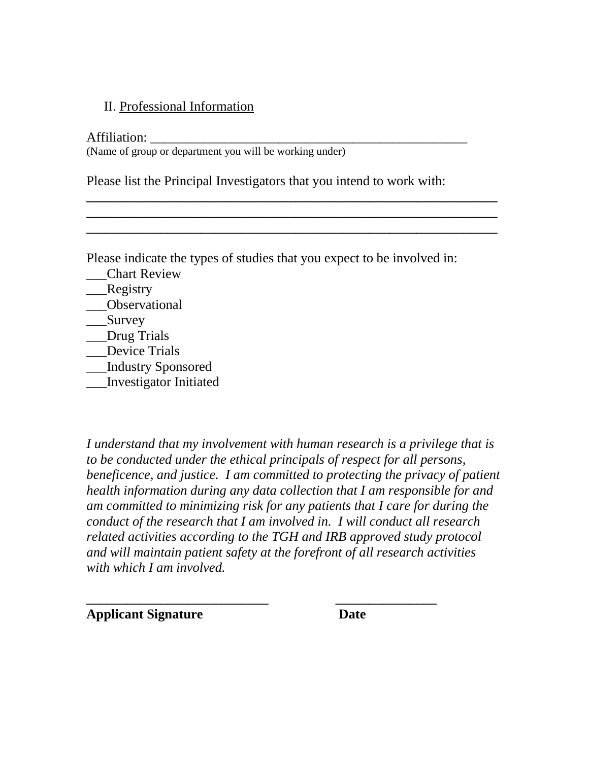#### II. Professional Information

Affiliation: \_\_\_\_\_\_\_\_\_\_\_\_\_\_\_\_\_\_\_\_\_\_\_\_\_\_\_\_\_\_\_\_\_\_\_\_\_\_\_\_\_\_\_\_\_\_\_ (Name of group or department you will be working under)

Please list the Principal Investigators that you intend to work with:

**\_\_\_\_\_\_\_\_\_\_\_\_\_\_\_\_\_\_\_\_\_\_\_\_\_\_\_\_\_\_\_\_\_\_\_\_\_\_\_\_\_\_\_\_\_\_\_\_\_\_\_\_\_\_\_\_\_\_\_\_\_ \_\_\_\_\_\_\_\_\_\_\_\_\_\_\_\_\_\_\_\_\_\_\_\_\_\_\_\_\_\_\_\_\_\_\_\_\_\_\_\_\_\_\_\_\_\_\_\_\_\_\_\_\_\_\_\_\_\_\_\_\_ \_\_\_\_\_\_\_\_\_\_\_\_\_\_\_\_\_\_\_\_\_\_\_\_\_\_\_\_\_\_\_\_\_\_\_\_\_\_\_\_\_\_\_\_\_\_\_\_\_\_\_\_\_\_\_\_\_\_\_\_\_**

Please indicate the types of studies that you expect to be involved in:

- \_\_\_Chart Review
- \_\_\_Registry
- \_\_\_Observational
- \_\_\_Survey
- \_\_\_Drug Trials
- Device Trials
- \_\_\_Industry Sponsored
- \_\_\_Investigator Initiated

*I understand that my involvement with human research is a privilege that is to be conducted under the ethical principals of respect for all persons, beneficence, and justice. I am committed to protecting the privacy of patient health information during any data collection that I am responsible for and am committed to minimizing risk for any patients that I care for during the conduct of the research that I am involved in. I will conduct all research related activities according to the TGH and IRB approved study protocol and will maintain patient safety at the forefront of all research activities with which I am involved.*

**\_\_\_\_\_\_\_\_\_\_\_\_\_\_\_\_\_\_\_\_\_\_\_\_\_\_\_ \_\_\_\_\_\_\_\_\_\_\_\_\_\_\_ Applicant Signature Date**